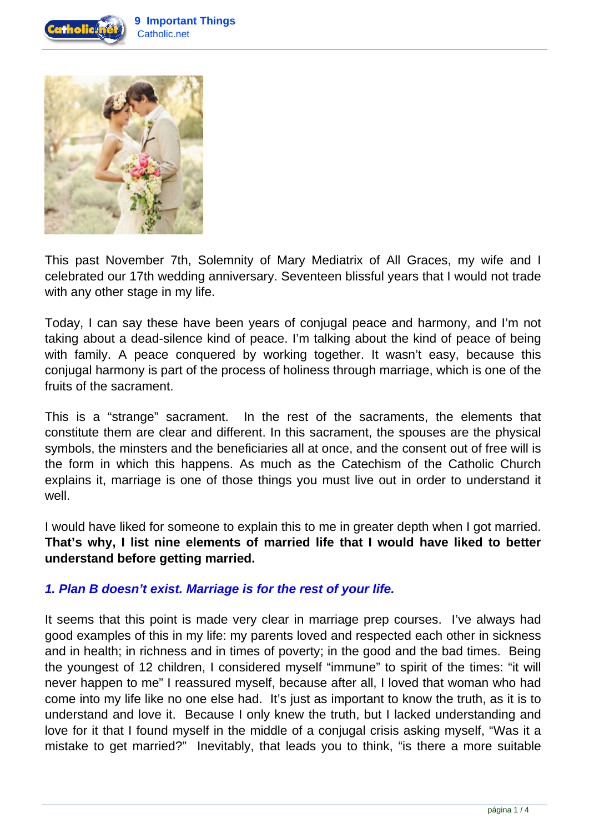



This past November 7th, Solemnity of Mary Mediatrix of All Graces, my wife and I celebrated our 17th wedding anniversary. Seventeen blissful years that I would not trade with any other stage in my life.

Today, I can say these have been years of conjugal peace and harmony, and I'm not taking about a dead-silence kind of peace. I'm talking about the kind of peace of being with family. A peace conquered by working together. It wasn't easy, because this conjugal harmony is part of the process of holiness through marriage, which is one of the fruits of the sacrament.

This is a "strange" sacrament. In the rest of the sacraments, the elements that constitute them are clear and different. In this sacrament, the spouses are the physical symbols, the minsters and the beneficiaries all at once, and the consent out of free will is the form in which this happens. As much as the Catechism of the Catholic Church explains it, marriage is one of those things you must live out in order to understand it well.

I would have liked for someone to explain this to me in greater depth when I got married. **That's why, I list nine elements of married life that I would have liked to better understand before getting married.**

#### **1. Plan B doesn't exist. Marriage is for the rest of your life.**

It seems that this point is made very clear in marriage prep courses. I've always had good examples of this in my life: my parents loved and respected each other in sickness and in health; in richness and in times of poverty; in the good and the bad times. Being the youngest of 12 children, I considered myself "immune" to spirit of the times: "it will never happen to me" I reassured myself, because after all, I loved that woman who had come into my life like no one else had. It's just as important to know the truth, as it is to understand and love it. Because I only knew the truth, but I lacked understanding and love for it that I found myself in the middle of a conjugal crisis asking myself, "Was it a mistake to get married?" Inevitably, that leads you to think, "is there a more suitable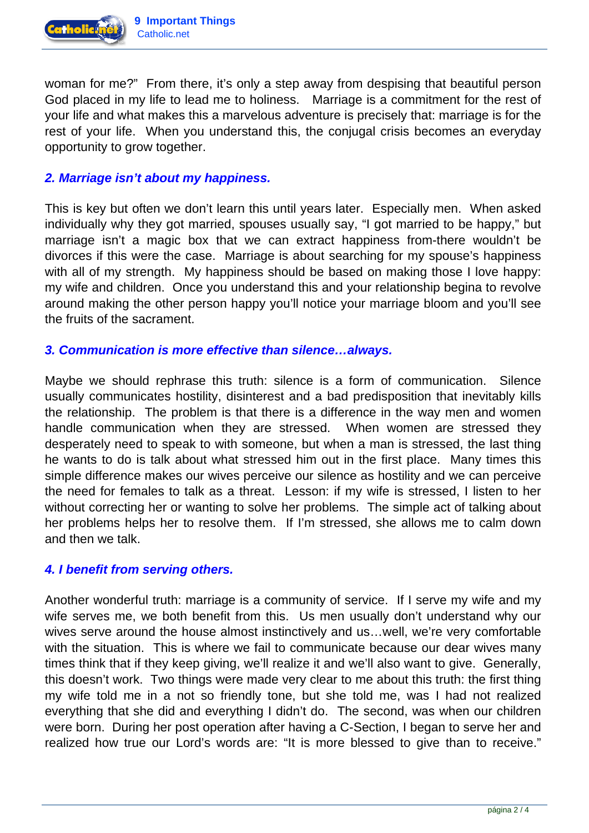

woman for me?" From there, it's only a step away from despising that beautiful person God placed in my life to lead me to holiness. Marriage is a commitment for the rest of your life and what makes this a marvelous adventure is precisely that: marriage is for the rest of your life. When you understand this, the conjugal crisis becomes an everyday opportunity to grow together.

# **2. Marriage isn't about my happiness.**

This is key but often we don't learn this until years later. Especially men. When asked individually why they got married, spouses usually say, "I got married to be happy," but marriage isn't a magic box that we can extract happiness from-there wouldn't be divorces if this were the case. Marriage is about searching for my spouse's happiness with all of my strength. My happiness should be based on making those I love happy: my wife and children. Once you understand this and your relationship begina to revolve around making the other person happy you'll notice your marriage bloom and you'll see the fruits of the sacrament.

#### **3. Communication is more effective than silence…always.**

Maybe we should rephrase this truth: silence is a form of communication. Silence usually communicates hostility, disinterest and a bad predisposition that inevitably kills the relationship. The problem is that there is a difference in the way men and women handle communication when they are stressed. When women are stressed they desperately need to speak to with someone, but when a man is stressed, the last thing he wants to do is talk about what stressed him out in the first place. Many times this simple difference makes our wives perceive our silence as hostility and we can perceive the need for females to talk as a threat. Lesson: if my wife is stressed, I listen to her without correcting her or wanting to solve her problems. The simple act of talking about her problems helps her to resolve them. If I'm stressed, she allows me to calm down and then we talk.

#### **4. I benefit from serving others.**

Another wonderful truth: marriage is a community of service. If I serve my wife and my wife serves me, we both benefit from this. Us men usually don't understand why our wives serve around the house almost instinctively and us…well, we're very comfortable with the situation. This is where we fail to communicate because our dear wives many times think that if they keep giving, we'll realize it and we'll also want to give. Generally, this doesn't work. Two things were made very clear to me about this truth: the first thing my wife told me in a not so friendly tone, but she told me, was I had not realized everything that she did and everything I didn't do. The second, was when our children were born. During her post operation after having a C-Section, I began to serve her and realized how true our Lord's words are: "It is more blessed to give than to receive."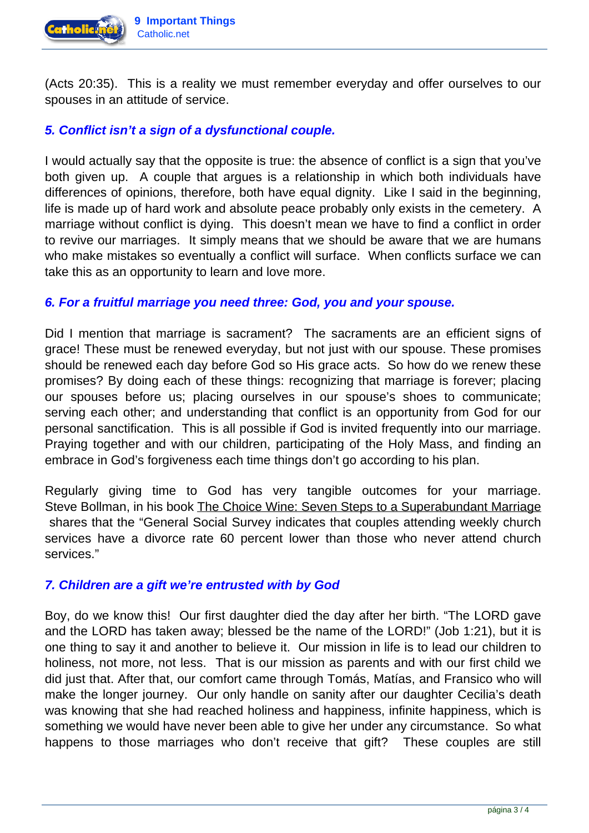

(Acts 20:35). This is a reality we must remember everyday and offer ourselves to our spouses in an attitude of service.

# **5. Conflict isn't a sign of a dysfunctional couple.**

I would actually say that the opposite is true: the absence of conflict is a sign that you've both given up. A couple that argues is a relationship in which both individuals have differences of opinions, therefore, both have equal dignity. Like I said in the beginning, life is made up of hard work and absolute peace probably only exists in the cemetery. A marriage without conflict is dying. This doesn't mean we have to find a conflict in order to revive our marriages. It simply means that we should be aware that we are humans who make mistakes so eventually a conflict will surface. When conflicts surface we can take this as an opportunity to learn and love more.

### **6. For a fruitful marriage you need three: God, you and your spouse.**

Did I mention that marriage is sacrament? The sacraments are an efficient signs of grace! These must be renewed everyday, but not just with our spouse. These promises should be renewed each day before God so His grace acts. So how do we renew these promises? By doing each of these things: recognizing that marriage is forever; placing our spouses before us; placing ourselves in our spouse's shoes to communicate; serving each other; and understanding that conflict is an opportunity from God for our personal sanctification. This is all possible if God is invited frequently into our marriage. Praying together and with our children, participating of the Holy Mass, and finding an embrace in God's forgiveness each time things don't go according to his plan.

Regularly giving time to God has very tangible outcomes for your marriage. Steve Bollman, in his book [The Choice Wine: Seven Steps to a Superabundant Marriage](http://thechoicewine.org/the-choice-wine-book/) shares that the "General Social Survey indicates that couples attending weekly church services have a divorce rate 60 percent lower than those who never attend church services."

# **7. Children are a gift we're entrusted with by God**

Boy, do we know this! Our first daughter died the day after her birth. "The LORD gave and the LORD has taken away; blessed be the name of the LORD!" (Job 1:21), but it is one thing to say it and another to believe it. Our mission in life is to lead our children to holiness, not more, not less. That is our mission as parents and with our first child we did just that. After that, our comfort came through Tomás, Matías, and Fransico who will make the longer journey. Our only handle on sanity after our daughter Cecilia's death was knowing that she had reached holiness and happiness, infinite happiness, which is something we would have never been able to give her under any circumstance. So what happens to those marriages who don't receive that gift? These couples are still